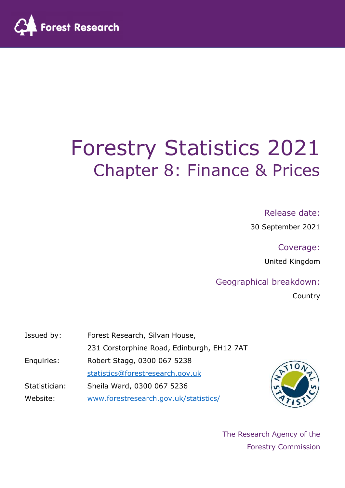

# Forestry Statistics 2021 Chapter 8: Finance & Prices

#### Release date:

30 September 2021

Coverage:

United Kingdom

#### Geographical breakdown:

Country

| Issued by:    | Forest Research, Silvan House,             |
|---------------|--------------------------------------------|
|               | 231 Corstorphine Road, Edinburgh, EH12 7AT |
| Enquiries:    | Robert Stagg, 0300 067 5238                |
|               | statistics@forestresearch.gov.uk           |
| Statistician: | Sheila Ward, 0300 067 5236                 |
| Website:      | www.forestresearch.gov.uk/statistics/      |



The Research Agency of the Forestry Commission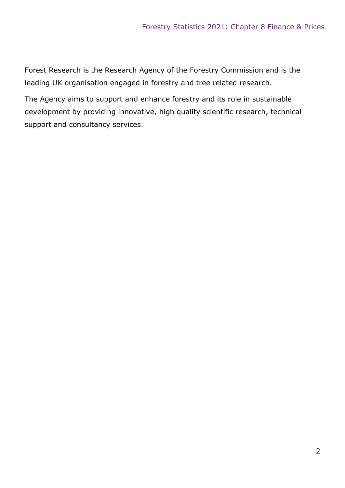Forest Research is the Research Agency of the Forestry Commission and is the leading UK organisation engaged in forestry and tree related research.

The Agency aims to support and enhance forestry and its role in sustainable development by providing innovative, high quality scientific research, technical support and consultancy services.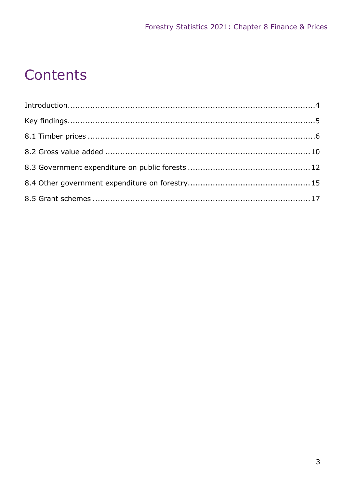## Contents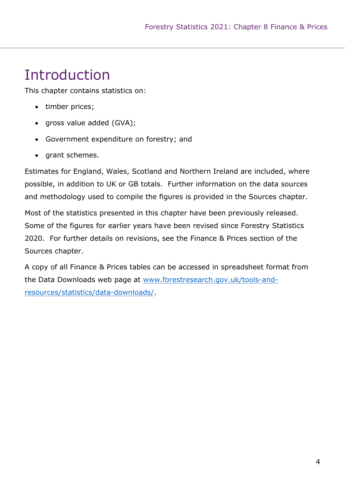## Introduction

This chapter contains statistics on:

- timber prices;
- gross value added (GVA);
- Government expenditure on forestry; and
- grant schemes.

Estimates for England, Wales, Scotland and Northern Ireland are included, where possible, in addition to UK or GB totals. Further information on the data sources and methodology used to compile the figures is provided in the Sources chapter.

Most of the statistics presented in this chapter have been previously released. Some of the figures for earlier years have been revised since Forestry Statistics 2020. For further details on revisions, see the Finance & Prices section of the Sources chapter.

A copy of all Finance & Prices tables can be accessed in spreadsheet format from the Data Downloads web page at www.forestresearch.gov.uk/tools-andresources/statistics/data-downloads/.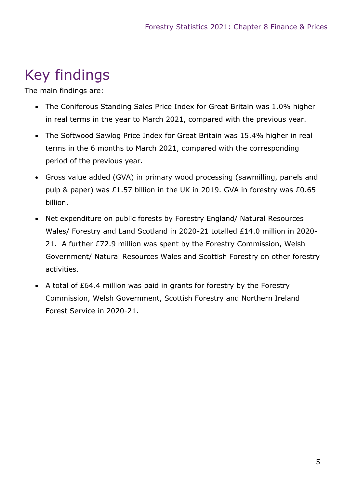## Key findings

The main findings are:

- The Coniferous Standing Sales Price Index for Great Britain was 1.0% higher in real terms in the year to March 2021, compared with the previous year.
- The Softwood Sawlog Price Index for Great Britain was 15.4% higher in real terms in the 6 months to March 2021, compared with the corresponding period of the previous year.
- Gross value added (GVA) in primary wood processing (sawmilling, panels and pulp & paper) was £1.57 billion in the UK in 2019. GVA in forestry was £0.65 billion.
- Net expenditure on public forests by Forestry England/ Natural Resources Wales/ Forestry and Land Scotland in 2020-21 totalled £14.0 million in 2020- 21. A further £72.9 million was spent by the Forestry Commission, Welsh Government/ Natural Resources Wales and Scottish Forestry on other forestry activities.
- A total of £64.4 million was paid in grants for forestry by the Forestry Commission, Welsh Government, Scottish Forestry and Northern Ireland Forest Service in 2020-21.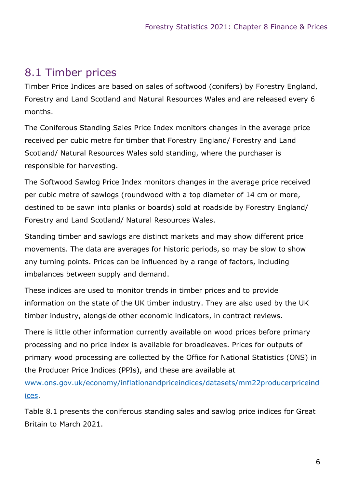### 8.1 Timber prices

Timber Price Indices are based on sales of softwood (conifers) by Forestry England, Forestry and Land Scotland and Natural Resources Wales and are released every 6 months.

The Coniferous Standing Sales Price Index monitors changes in the average price received per cubic metre for timber that Forestry England/ Forestry and Land Scotland/ Natural Resources Wales sold standing, where the purchaser is responsible for harvesting.

The Softwood Sawlog Price Index monitors changes in the average price received per cubic metre of sawlogs (roundwood with a top diameter of 14 cm or more, destined to be sawn into planks or boards) sold at roadside by Forestry England/ Forestry and Land Scotland/ Natural Resources Wales.

Standing timber and sawlogs are distinct markets and may show different price movements. The data are averages for historic periods, so may be slow to show any turning points. Prices can be influenced by a range of factors, including imbalances between supply and demand.

These indices are used to monitor trends in timber prices and to provide information on the state of the UK timber industry. They are also used by the UK timber industry, alongside other economic indicators, in contract reviews.

There is little other information currently available on wood prices before primary processing and no price index is available for broadleaves. Prices for outputs of primary wood processing are collected by the Office for National Statistics (ONS) in the Producer Price Indices (PPIs), and these are available at

www.ons.gov.uk/economy/inflationandpriceindices/datasets/mm22producerpriceind ices.

Table 8.1 presents the coniferous standing sales and sawlog price indices for Great Britain to March 2021.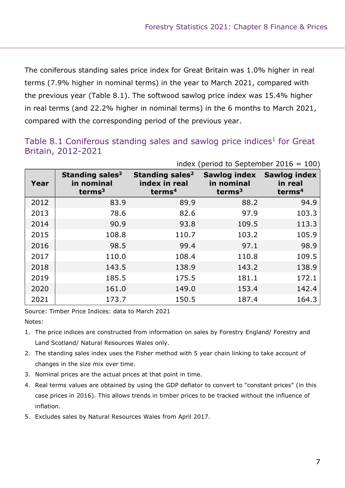The coniferous standing sales price index for Great Britain was 1.0% higher in real terms (7.9% higher in nominal terms) in the year to March 2021, compared with the previous year (Table 8.1). The softwood sawlog price index was 15.4% higher in real terms (and 22.2% higher in nominal terms) in the 6 months to March 2021, compared with the corresponding period of the previous year.

| Table 8.1 Coniferous standing sales and sawlog price indices <sup>1</sup> for Great |  |  |  |  |
|-------------------------------------------------------------------------------------|--|--|--|--|
| Britain, 2012-2021                                                                  |  |  |  |  |

|      |                                                        |                                                           | index (period to September 2016 = 100)               |                               |
|------|--------------------------------------------------------|-----------------------------------------------------------|------------------------------------------------------|-------------------------------|
| Year | Standing sales <sup>2</sup><br>in nominal<br>terms $3$ | Standing sales <sup>2</sup><br>index in real<br>terms $4$ | Sawlog index Sawlog index<br>in nominal<br>terms $3$ | in real<br>terms <sup>4</sup> |
| 2012 | 83.9                                                   | 89.9                                                      | 88.2                                                 | 94.9                          |
| 2013 | 78.6                                                   | 82.6                                                      | 97.9                                                 | 103.3                         |
| 2014 | 90.9                                                   | 93.8                                                      | 109.5                                                | 113.3                         |
| 2015 | 108.8                                                  | 110.7                                                     | 103.2                                                | 105.9                         |
| 2016 | 98.5                                                   | 99.4                                                      | 97.1                                                 | 98.9                          |
| 2017 | 110.0                                                  | 108.4                                                     | 110.8                                                | 109.5                         |
| 2018 | 143.5                                                  | 138.9                                                     | 143.2                                                | 138.9                         |
| 2019 | 185.5                                                  | 175.5                                                     | 181.1                                                | 172.1                         |
| 2020 | 161.0                                                  | 149.0                                                     | 153.4                                                | 142.4                         |
| 2021 | 173.7                                                  | 150.5                                                     | 187.4                                                | 164.3                         |

Source: Timber Price Indices: data to March 2021

- 1. The price indices are constructed from information on sales by Forestry England/ Forestry and Land Scotland/ Natural Resources Wales only.
- 2. The standing sales index uses the Fisher method with 5 year chain linking to take account of changes in the size mix over time.
- 3. Nominal prices are the actual prices at that point in time.
- 4. Real terms values are obtained by using the GDP deflator to convert to "constant prices" (in this case prices in 2016). This allows trends in timber prices to be tracked without the influence of inflation.
- 5. Excludes sales by Natural Resources Wales from April 2017.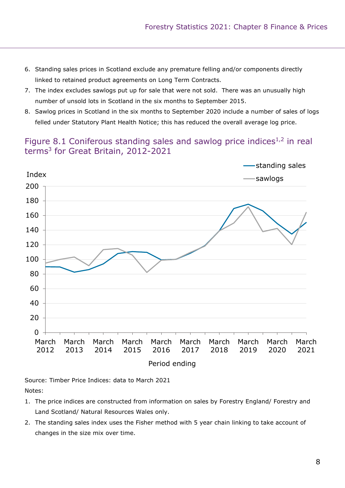- 6. Standing sales prices in Scotland exclude any premature felling and/or components directly linked to retained product agreements on Long Term Contracts.
- 7. The index excludes sawlogs put up for sale that were not sold. There was an unusually high number of unsold lots in Scotland in the six months to September 2015.
- 8. Sawlog prices in Scotland in the six months to September 2020 include a number of sales of logs felled under Statutory Plant Health Notice; this has reduced the overall average log price.

#### Figure 8.1 Coniferous standing sales and sawlog price indices $1/2$  in real terms<sup>3</sup> for Great Britain, 2012-2021



Source: Timber Price Indices: data to March 2021 Notes:

- 1. The price indices are constructed from information on sales by Forestry England/ Forestry and Land Scotland/ Natural Resources Wales only.
- 2. The standing sales index uses the Fisher method with 5 year chain linking to take account of changes in the size mix over time.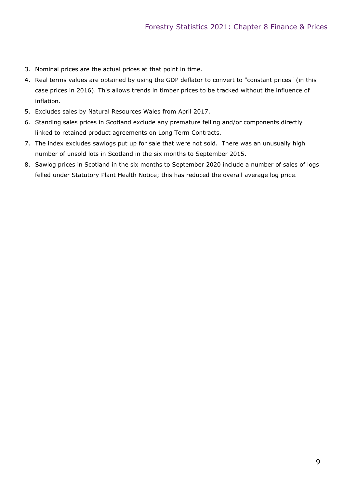- 3. Nominal prices are the actual prices at that point in time.
- 4. Real terms values are obtained by using the GDP deflator to convert to "constant prices" (in this case prices in 2016). This allows trends in timber prices to be tracked without the influence of inflation.
- 5. Excludes sales by Natural Resources Wales from April 2017.
- 6. Standing sales prices in Scotland exclude any premature felling and/or components directly linked to retained product agreements on Long Term Contracts.
- 7. The index excludes sawlogs put up for sale that were not sold. There was an unusually high number of unsold lots in Scotland in the six months to September 2015.
- 8. Sawlog prices in Scotland in the six months to September 2020 include a number of sales of logs felled under Statutory Plant Health Notice; this has reduced the overall average log price.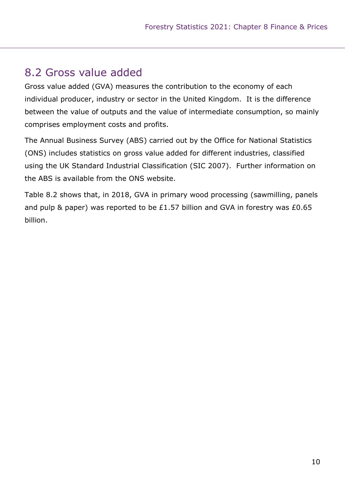## 8.2 Gross value added

Gross value added (GVA) measures the contribution to the economy of each individual producer, industry or sector in the United Kingdom. It is the difference between the value of outputs and the value of intermediate consumption, so mainly comprises employment costs and profits.

The Annual Business Survey (ABS) carried out by the Office for National Statistics (ONS) includes statistics on gross value added for different industries, classified using the UK Standard Industrial Classification (SIC 2007). Further information on the ABS is available from the ONS website.

Table 8.2 shows that, in 2018, GVA in primary wood processing (sawmilling, panels and pulp & paper) was reported to be £1.57 billion and GVA in forestry was £0.65 billion.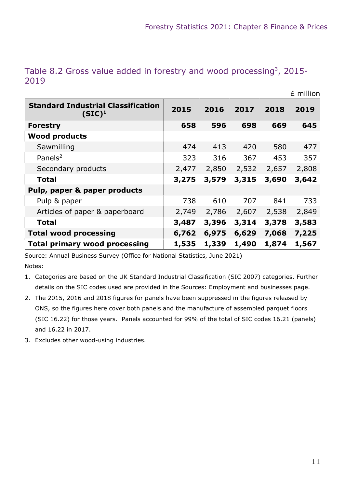|      |  |  |  | Table 8.2 Gross value added in forestry and wood processing <sup>3</sup> , 2015- |  |
|------|--|--|--|----------------------------------------------------------------------------------|--|
| 2019 |  |  |  |                                                                                  |  |

|  | million |
|--|---------|
|  |         |

| <b>Standard Industrial Classification</b><br>$(SIC)^1$ | 2015  | 2016  | 2017  | 2018  | 2019  |
|--------------------------------------------------------|-------|-------|-------|-------|-------|
| <b>Forestry</b>                                        | 658   | 596   | 698   | 669   | 645   |
| <b>Wood products</b>                                   |       |       |       |       |       |
| Sawmilling                                             | 474   | 413   | 420   | 580   | 477   |
| Panels <sup>2</sup>                                    | 323   | 316   | 367   | 453   | 357   |
| Secondary products                                     | 2,477 | 2,850 | 2,532 | 2,657 | 2,808 |
| <b>Total</b>                                           | 3,275 | 3,579 | 3,315 | 3,690 | 3,642 |
| Pulp, paper & paper products                           |       |       |       |       |       |
| Pulp & paper                                           | 738   | 610   | 707   | 841   | 733   |
| Articles of paper & paperboard                         | 2,749 | 2,786 | 2,607 | 2,538 | 2,849 |
| <b>Total</b>                                           | 3,487 | 3,396 | 3,314 | 3,378 | 3,583 |
| <b>Total wood processing</b>                           | 6,762 | 6,975 | 6,629 | 7,068 | 7,225 |
| <b>Total primary wood processing</b>                   | 1,535 | 1,339 | 1,490 | 1,874 | 1,567 |

Source: Annual Business Survey (Office for National Statistics, June 2021)

- 1. Categories are based on the UK Standard Industrial Classification (SIC 2007) categories. Further details on the SIC codes used are provided in the Sources: Employment and businesses page.
- 2. The 2015, 2016 and 2018 figures for panels have been suppressed in the figures released by ONS, so the figures here cover both panels and the manufacture of assembled parquet floors (SIC 16.22) for those years. Panels accounted for 99% of the total of SIC codes 16.21 (panels) and 16.22 in 2017.
- 3. Excludes other wood-using industries.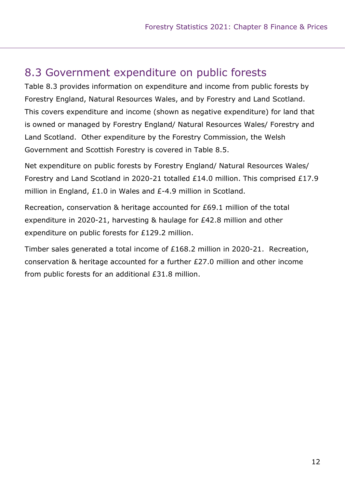## 8.3 Government expenditure on public forests

Table 8.3 provides information on expenditure and income from public forests by Forestry England, Natural Resources Wales, and by Forestry and Land Scotland. This covers expenditure and income (shown as negative expenditure) for land that is owned or managed by Forestry England/ Natural Resources Wales/ Forestry and Land Scotland. Other expenditure by the Forestry Commission, the Welsh Government and Scottish Forestry is covered in Table 8.5.

Net expenditure on public forests by Forestry England/ Natural Resources Wales/ Forestry and Land Scotland in 2020-21 totalled £14.0 million. This comprised £17.9 million in England, £1.0 in Wales and £-4.9 million in Scotland.

Recreation, conservation & heritage accounted for £69.1 million of the total expenditure in 2020-21, harvesting & haulage for £42.8 million and other expenditure on public forests for £129.2 million.

Timber sales generated a total income of £168.2 million in 2020-21. Recreation, conservation & heritage accounted for a further £27.0 million and other income from public forests for an additional £31.8 million.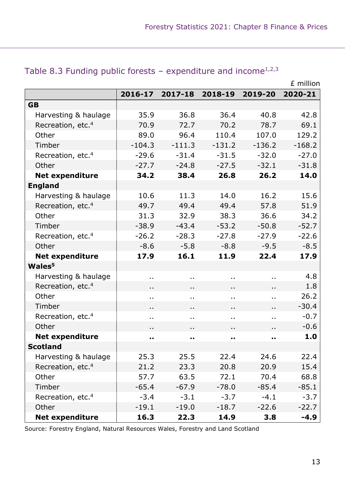|                               |          |                      |                      |                      | £ million |
|-------------------------------|----------|----------------------|----------------------|----------------------|-----------|
|                               | 2016-17  | 2017-18              | 2018-19              | 2019-20              | 2020-21   |
| <b>GB</b>                     |          |                      |                      |                      |           |
| Harvesting & haulage          | 35.9     | 36.8                 | 36.4                 | 40.8                 | 42.8      |
| Recreation, etc. <sup>4</sup> | 70.9     | 72.7                 | 70.2                 | 78.7                 | 69.1      |
| Other                         | 89.0     | 96.4                 | 110.4                | 107.0                | 129.2     |
| Timber                        | $-104.3$ | $-111.3$             | $-131.2$             | $-136.2$             | $-168.2$  |
| Recreation, etc. <sup>4</sup> | $-29.6$  | $-31.4$              | $-31.5$              | $-32.0$              | $-27.0$   |
| Other                         | $-27.7$  | $-24.8$              | $-27.5$              | $-32.1$              | $-31.8$   |
| <b>Net expenditure</b>        | 34.2     | 38.4                 | 26.8                 | 26.2                 | 14.0      |
| <b>England</b>                |          |                      |                      |                      |           |
| Harvesting & haulage          | 10.6     | 11.3                 | 14.0                 | 16.2                 | 15.6      |
| Recreation, etc. <sup>4</sup> | 49.7     | 49.4                 | 49.4                 | 57.8                 | 51.9      |
| Other                         | 31.3     | 32.9                 | 38.3                 | 36.6                 | 34.2      |
| Timber                        | $-38.9$  | $-43.4$              | $-53.2$              | $-50.8$              | $-52.7$   |
| Recreation, etc. <sup>4</sup> | $-26.2$  | $-28.3$              | $-27.8$              | $-27.9$              | $-22.6$   |
| Other                         | $-8.6$   | $-5.8$               | $-8.8$               | $-9.5$               | $-8.5$    |
| <b>Net expenditure</b>        | 17.9     | 16.1                 | 11.9                 | 22.4                 | 17.9      |
| Wales <sup>5</sup>            |          |                      |                      |                      |           |
| Harvesting & haulage          | $\sim$   | $\sim$               | $\sim$               | Ω.                   | 4.8       |
| Recreation, etc. <sup>4</sup> | ω.       | $\sim$               | $\sim$               | Ω.                   | 1.8       |
| Other                         | ٠.       | $\sim$               | $\ddot{\phantom{1}}$ | ٠.                   | 26.2      |
| Timber                        | ٠.       | ٠.                   | $\ddot{\phantom{a}}$ | ٠.                   | $-30.4$   |
| Recreation, etc. <sup>4</sup> | Ω.       | Ω.                   | $\ddot{\phantom{0}}$ | $\ddot{\phantom{a}}$ | $-0.7$    |
| Other                         | Ω,       | $\ddot{\phantom{1}}$ | $\sim$               |                      | $-0.6$    |
| <b>Net expenditure</b>        |          |                      |                      |                      | 1.0       |
| <b>Scotland</b>               |          |                      |                      |                      |           |
| Harvesting & haulage          | 25.3     | 25.5                 | 22.4                 | 24.6                 | 22.4      |
| Recreation, etc. <sup>4</sup> | 21.2     | 23.3                 | 20.8                 | 20.9                 | 15.4      |
| Other                         | 57.7     | 63.5                 | 72.1                 | 70.4                 | 68.8      |
| Timber                        | $-65.4$  | $-67.9$              | $-78.0$              | $-85.4$              | $-85.1$   |
| Recreation, etc. <sup>4</sup> | $-3.4$   | $-3.1$               | $-3.7$               | $-4.1$               | $-3.7$    |
| Other                         | $-19.1$  | $-19.0$              | $-18.7$              | $-22.6$              | $-22.7$   |
| <b>Net expenditure</b>        | 16.3     | 22.3                 | 14.9                 | 3.8                  | $-4.9$    |

## Table 8.3 Funding public forests – expenditure and income<sup>1,2,3</sup>

Source: Forestry England, Natural Resources Wales, Forestry and Land Scotland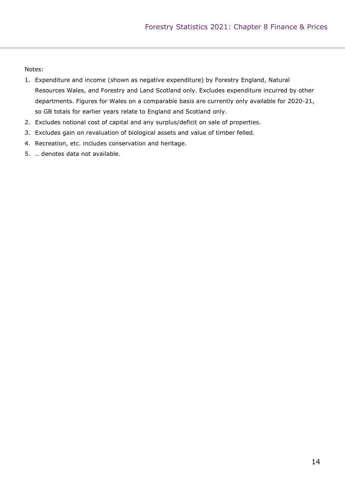- 1. Expenditure and income (shown as negative expenditure) by Forestry England, Natural Resources Wales, and Forestry and Land Scotland only. Excludes expenditure incurred by other departments. Figures for Wales on a comparable basis are currently only available for 2020-21, so GB totals for earlier years relate to England and Scotland only.
- 2. Excludes notional cost of capital and any surplus/deficit on sale of properties.
- 3. Excludes gain on revaluation of biological assets and value of timber felled.
- 4. Recreation, etc. includes conservation and heritage.
- 5. .. denotes data not available.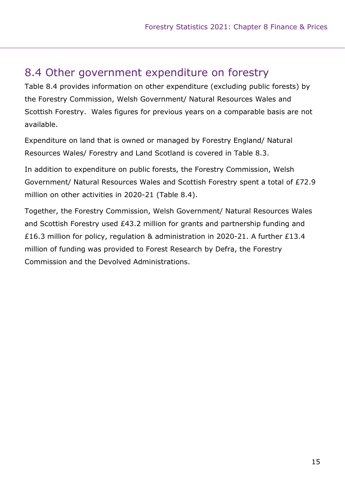## 8.4 Other government expenditure on forestry

Table 8.4 provides information on other expenditure (excluding public forests) by the Forestry Commission, Welsh Government/ Natural Resources Wales and Scottish Forestry. Wales figures for previous years on a comparable basis are not available.

Expenditure on land that is owned or managed by Forestry England/ Natural Resources Wales/ Forestry and Land Scotland is covered in Table 8.3.

In addition to expenditure on public forests, the Forestry Commission, Welsh Government/ Natural Resources Wales and Scottish Forestry spent a total of £72.9 million on other activities in 2020-21 (Table 8.4).

Together, the Forestry Commission, Welsh Government/ Natural Resources Wales and Scottish Forestry used £43.2 million for grants and partnership funding and £16.3 million for policy, regulation & administration in 2020-21. A further £13.4 million of funding was provided to Forest Research by Defra, the Forestry Commission and the Devolved Administrations.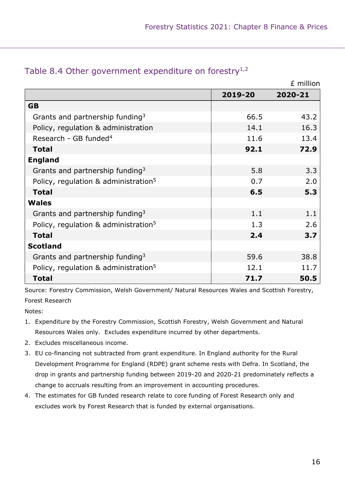| Table 8.4 Other government expenditure on forestry $1,2$ |  |  |  |  |
|----------------------------------------------------------|--|--|--|--|
|----------------------------------------------------------|--|--|--|--|

|                                                  |         | £ million |
|--------------------------------------------------|---------|-----------|
|                                                  | 2019-20 | 2020-21   |
| <b>GB</b>                                        |         |           |
| Grants and partnership funding <sup>3</sup>      | 66.5    | 43.2      |
| Policy, regulation & administration              | 14.1    | 16.3      |
| Research - GB funded <sup>4</sup>                | 11.6    | 13.4      |
| <b>Total</b>                                     | 92.1    | 72.9      |
| <b>England</b>                                   |         |           |
| Grants and partnership funding <sup>3</sup>      | 5.8     | 3.3       |
| Policy, regulation & administration <sup>5</sup> | 0.7     | 2.0       |
| <b>Total</b>                                     | 6.5     | 5.3       |
| <b>Wales</b>                                     |         |           |
| Grants and partnership funding <sup>3</sup>      | 1.1     | 1.1       |
| Policy, regulation & administration <sup>5</sup> | 1.3     | 2.6       |
| <b>Total</b>                                     | 2.4     | 3.7       |
| <b>Scotland</b>                                  |         |           |
| Grants and partnership funding <sup>3</sup>      | 59.6    | 38.8      |
| Policy, regulation & administration <sup>5</sup> | 12.1    | 11.7      |
| <b>Total</b>                                     | 71.7    | 50.5      |

Source: Forestry Commission, Welsh Government/ Natural Resources Wales and Scottish Forestry, Forest Research

- 1. Expenditure by the Forestry Commission, Scottish Forestry, Welsh Government and Natural Resources Wales only. Excludes expenditure incurred by other departments.
- 2. Excludes miscellaneous income.
- 3. EU co-financing not subtracted from grant expenditure. In England authority for the Rural Development Programme for England (RDPE) grant scheme rests with Defra. In Scotland, the drop in grants and partnership funding between 2019-20 and 2020-21 predominately reflects a change to accruals resulting from an improvement in accounting procedures.
- 4. The estimates for GB funded research relate to core funding of Forest Research only and excludes work by Forest Research that is funded by external organisations.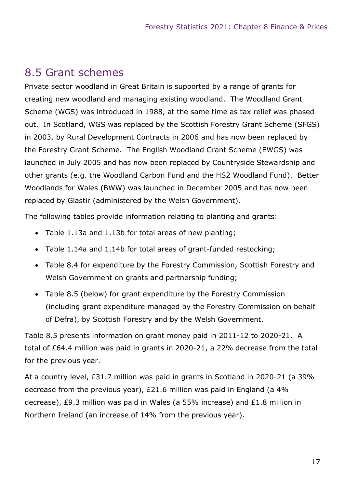## 8.5 Grant schemes

Private sector woodland in Great Britain is supported by a range of grants for creating new woodland and managing existing woodland. The Woodland Grant Scheme (WGS) was introduced in 1988, at the same time as tax relief was phased out. In Scotland, WGS was replaced by the Scottish Forestry Grant Scheme (SFGS) in 2003, by Rural Development Contracts in 2006 and has now been replaced by the Forestry Grant Scheme. The English Woodland Grant Scheme (EWGS) was launched in July 2005 and has now been replaced by Countryside Stewardship and other grants (e.g. the Woodland Carbon Fund and the HS2 Woodland Fund). Better Woodlands for Wales (BWW) was launched in December 2005 and has now been replaced by Glastir (administered by the Welsh Government).

The following tables provide information relating to planting and grants:

- Table 1.13a and 1.13b for total areas of new planting;
- Table 1.14a and 1.14b for total areas of grant-funded restocking;
- Table 8.4 for expenditure by the Forestry Commission, Scottish Forestry and Welsh Government on grants and partnership funding;
- Table 8.5 (below) for grant expenditure by the Forestry Commission (including grant expenditure managed by the Forestry Commission on behalf of Defra), by Scottish Forestry and by the Welsh Government.

Table 8.5 presents information on grant money paid in 2011-12 to 2020-21. A total of £64.4 million was paid in grants in 2020-21, a 22% decrease from the total for the previous year.

At a country level, £31.7 million was paid in grants in Scotland in 2020-21 (a 39% decrease from the previous year), £21.6 million was paid in England (a 4% decrease), £9.3 million was paid in Wales (a 55% increase) and £1.8 million in Northern Ireland (an increase of 14% from the previous year).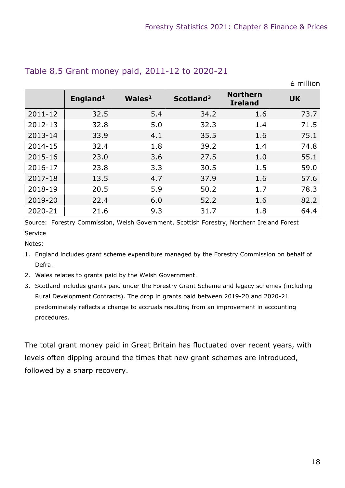£ million

|             | England <sup>1</sup> | Wales <sup>2</sup> | Scotland <sup>3</sup> | <b>Northern</b><br><b>Ireland</b> | <b>UK</b> |
|-------------|----------------------|--------------------|-----------------------|-----------------------------------|-----------|
| $2011 - 12$ | 32.5                 | 5.4                | 34.2                  | 1.6                               | 73.7      |
| 2012-13     | 32.8                 | 5.0                | 32.3                  | 1.4                               | 71.5      |
| 2013-14     | 33.9                 | 4.1                | 35.5                  | 1.6                               | 75.1      |
| 2014-15     | 32.4                 | 1.8                | 39.2                  | 1.4                               | 74.8      |
| 2015-16     | 23.0                 | 3.6                | 27.5                  | 1.0                               | 55.1      |
| 2016-17     | 23.8                 | 3.3                | 30.5                  | 1.5                               | 59.0      |
| 2017-18     | 13.5                 | 4.7                | 37.9                  | 1.6                               | 57.6      |
| 2018-19     | 20.5                 | 5.9                | 50.2                  | 1.7                               | 78.3      |
| 2019-20     | 22.4                 | 6.0                | 52.2                  | 1.6                               | 82.2      |
| 2020-21     | 21.6                 | 9.3                | 31.7                  | 1.8                               | 64.4      |

#### Table 8.5 Grant money paid, 2011-12 to 2020-21

Source: Forestry Commission, Welsh Government, Scottish Forestry, Northern Ireland Forest Service

Notes:

- 1. England includes grant scheme expenditure managed by the Forestry Commission on behalf of Defra.
- 2. Wales relates to grants paid by the Welsh Government.
- 3. Scotland includes grants paid under the Forestry Grant Scheme and legacy schemes (including Rural Development Contracts). The drop in grants paid between 2019-20 and 2020-21 predominately reflects a change to accruals resulting from an improvement in accounting procedures.

The total grant money paid in Great Britain has fluctuated over recent years, with levels often dipping around the times that new grant schemes are introduced, followed by a sharp recovery.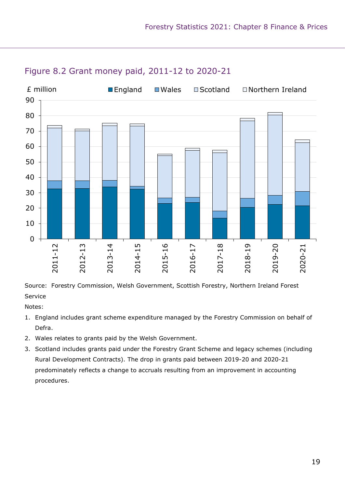

#### Figure 8.2 Grant money paid, 2011-12 to 2020-21

Source: Forestry Commission, Welsh Government, Scottish Forestry, Northern Ireland Forest Service

- 1. England includes grant scheme expenditure managed by the Forestry Commission on behalf of Defra.
- 2. Wales relates to grants paid by the Welsh Government.
- 3. Scotland includes grants paid under the Forestry Grant Scheme and legacy schemes (including Rural Development Contracts). The drop in grants paid between 2019-20 and 2020-21 predominately reflects a change to accruals resulting from an improvement in accounting procedures.